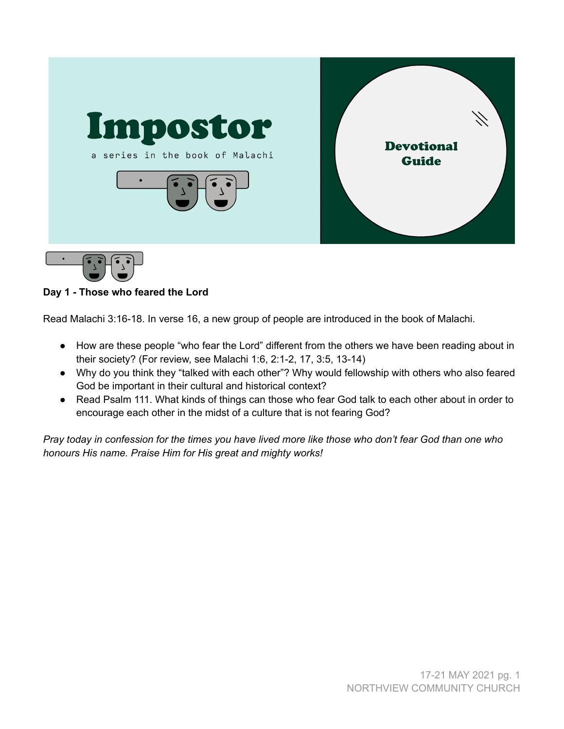

# **Day 1 - Those who feared the Lord**

Read Malachi 3:16-18. In verse 16, a new group of people are introduced in the book of Malachi.

- How are these people "who fear the Lord" different from the others we have been reading about in their society? (For review, see Malachi 1:6, 2:1-2, 17, 3:5, 13-14)
- Why do you think they "talked with each other"? Why would fellowship with others who also feared God be important in their cultural and historical context?
- Read Psalm 111. What kinds of things can those who fear God talk to each other about in order to encourage each other in the midst of a culture that is not fearing God?

Pray today in confession for the times you have lived more like those who don't fear God than one who *honours His name. Praise Him for His great and mighty works!*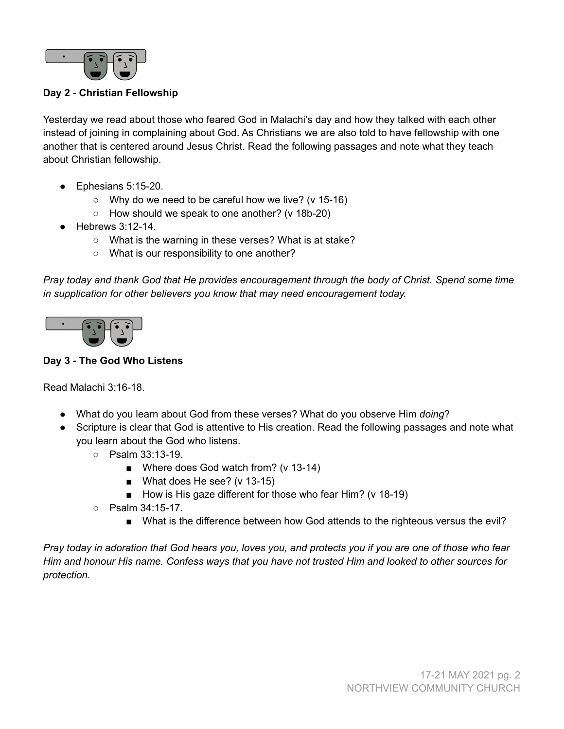

### **Day 2 - Christian Fellowship**

Yesterday we read about those who feared God in Malachi's day and how they talked with each other instead of joining in complaining about God. As Christians we are also told to have fellowship with one another that is centered around Jesus Christ. Read the following passages and note what they teach about Christian fellowship.

- Ephesians 5:15-20.
	- $\circ$  Why do we need to be careful how we live? (v 15-16)
	- How should we speak to one another? (v 18b-20)
- $\bullet$  Hebrews 3:12-14.
	- What is the warning in these verses? What is at stake?
	- What is our responsibility to one another?

*Pray today and thank God that He provides encouragement through the body of Christ. Spend some time in supplication for other believers you know that may need encouragement today.*



#### **Day 3 - The God Who Listens**

Read Malachi 3:16-18.

- What do you learn about God from these verses? What do you observe Him *doing*?
- Scripture is clear that God is attentive to His creation. Read the following passages and note what you learn about the God who listens.
	- Psalm 33:13-19.
		- Where does God watch from? (v 13-14)
		- What does He see? (v 13-15)
		- How is His gaze different for those who fear Him? (v 18-19)
	- Psalm 34:15-17.
		- What is the difference between how God attends to the righteous versus the evil?

Pray today in adoration that God hears you, loves you, and protects you if you are one of those who fear Him and honour His name. Confess ways that you have not trusted Him and looked to other sources for *protection.*